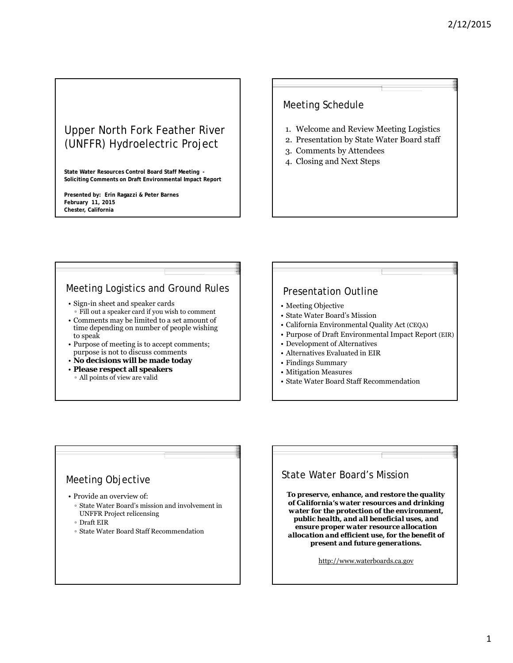# Upper North Fork Feather River (UNFFR) Hydroelectric Project

**State Water Resources Control Board Staff Meeting - Soliciting Comments on Draft Environmental Impact Report** 

**Presented by: Erin Ragazzi & Peter Barnes February 11, 2015 Chester, California**

### Meeting Schedule

- 1. Welcome and Review Meeting Logistics
- 2. Presentation by State Water Board staff
- 3. Comments by Attendees
- 4. Closing and Next Steps

### Meeting Logistics and Ground Rules

- Sign-in sheet and speaker cards ▫ Fill out a speaker card if you wish to comment
- Comments may be limited to a set amount of time depending on number of people wishing to speak
- Purpose of meeting is to accept comments; purpose is not to discuss comments
- **No decisions will be made today**
- **Please respect all speakers**
- All points of view are valid

## Presentation Outline

- Meeting Objective
- State Water Board's Mission
- California Environmental Quality Act (CEQA)
- Purpose of Draft Environmental Impact Report (EIR)
- Development of Alternatives
- Alternatives Evaluated in EIR
- Findings Summary
- Mitigation Measures
- State Water Board Staff Recommendation

### Meeting Objective

- Provide an overview of:
	- State Water Board's mission and involvement in UNFFR Project relicensing
	- Draft EIR
	- State Water Board Staff Recommendation

## State Water Board's Mission

*To preserve, enhance, and restore the quality of California's water resources and drinking water for the protection of the environment, public health, and all beneficial uses, and ensure proper water resource allocation allocation and efficient use, for the benefit of present and future generations.*

http://www.waterboards.ca.gov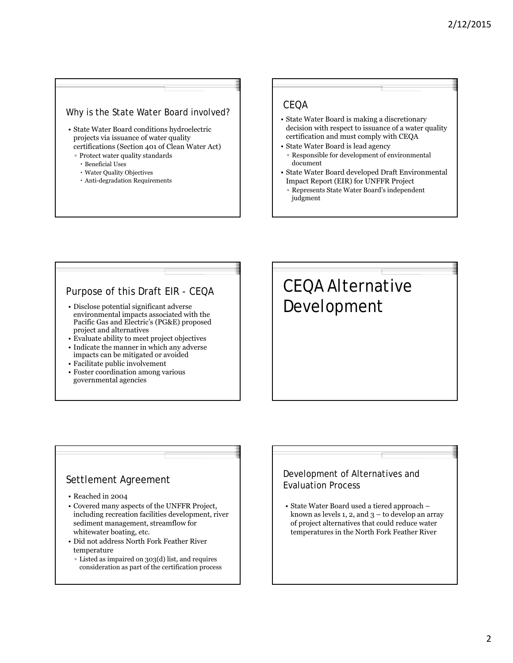### Why is the State Water Board involved?

- State Water Board conditions hydroelectric projects via issuance of water quality certifications (Section 401 of Clean Water Act)
	- Protect water quality standards
		- Beneficial Uses
		- Water Quality Objectives
		- Anti-degradation Requirements

### CEQA

- State Water Board is making a discretionary decision with respect to issuance of a water quality certification and must comply with CEQA
- State Water Board is lead agency
	- Responsible for development of environmental document
- State Water Board developed Draft Environmental Impact Report (EIR) for UNFFR Project
	- Represents State Water Board's independent judgment

### Purpose of this Draft EIR - CEQA

- Disclose potential significant adverse environmental impacts associated with the Pacific Gas and Electric's (PG&E) proposed project and alternatives
- Evaluate ability to meet project objectives
- Indicate the manner in which any adverse impacts can be mitigated or avoided
- Facilitate public involvement
- Foster coordination among various governmental agencies

# CEQA Alternative Development

### Settlement Agreement

- Reached in 2004
- Covered many aspects of the UNFFR Project, including recreation facilities development, river sediment management, streamflow for whitewater boating, etc.
- Did not address North Fork Feather River temperature
- Listed as impaired on 303(d) list, and requires consideration as part of the certification process

### Development of Alternatives and Evaluation Process

• State Water Board used a tiered approach – known as levels 1, 2, and  $3 -$  to develop an array of project alternatives that could reduce water temperatures in the North Fork Feather River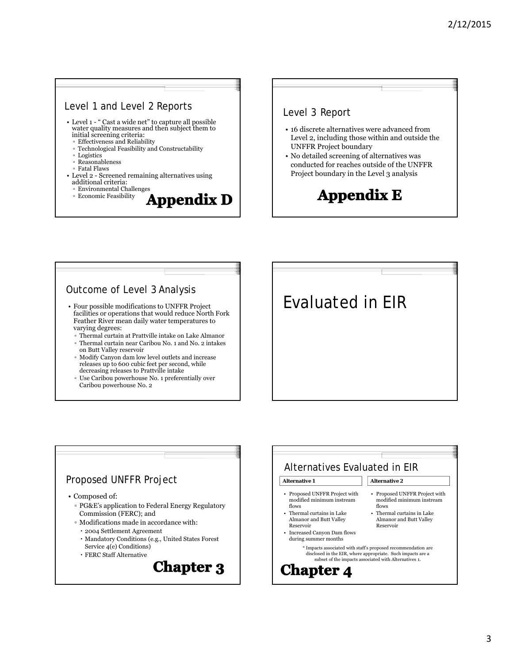### Level 1 and Level 2 Reports

- Level 1 " Cast a wide net" to capture all possible water quality measures and then subject them to initial screening criteria:
	- Effectiveness and Reliability
	- Technological Feasibility and Constructability
	- **Logistics**
	- Reasonableness
	- Fatal Flaws
- Level 2 Screened remaining alternatives using additional criteria:

**Appendix D** 

- Environmental Challenges
- Economic Feasibility

### Level 3 Report

- 16 discrete alternatives were advanced from Level 2, including those within and outside the UNFFR Project boundary
- No detailed screening of alternatives was conducted for reaches outside of the UNFFR Project boundary in the Level 3 analysis



Evaluated in EIR

### Outcome of Level 3 Analysis

- Four possible modifications to UNFFR Project facilities or operations that would reduce North Fork Feather River mean daily water temperatures to varying degrees:
	- Thermal curtain at Prattville intake on Lake Almanor ▫ Thermal curtain near Caribou No. 1 and No. 2 intakes on Butt Valley reservoir
	- Modify Canyon dam low level outlets and increase releases up to 600 cubic feet per second, while decreasing releases to Prattville intake
	- Use Caribou powerhouse No. 1 preferentially over Caribou powerhouse No. 2

### Proposed UNFFR Project

- Composed of:
	- PG&E's application to Federal Energy Regulatory Commission (FERC); and
- Modifications made in accordance with:
	- 2004 Settlement Agreement
	- Mandatory Conditions (e.g., United States Forest

**Chapter 3** 

- Service 4(e) Conditions)
- FERC Staff Alternative

# Alternatives Evaluated in EIR

#### **Alternative 1 Alternative 2**

- Proposed UNFFR Project with modified minimum instream flows
- Thermal curtains in Lake Almanor and Butt Valley Reservoir
- Increased Canyon Dam flows during summer months
	- \* Impacts associated with staff's proposed recommendation are disclosed in the EIR, where appropriate. Such impacts are a subset of the impacts associated with Alternatives 1.

flows

Reservoir

• Proposed UNFFR Project with modified minimum instream

• Thermal curtains in Lake Almanor and Butt Valley

# **Chapter 4**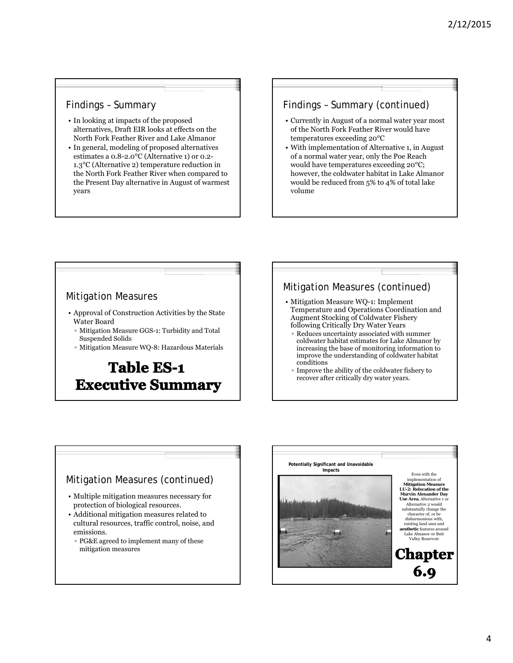## Findings – Summary

- In looking at impacts of the proposed alternatives, Draft EIR looks at effects on the North Fork Feather River and Lake Almanor
- In general, modeling of proposed alternatives estimates a 0.8-2.0°C (Alternative 1) or 0.2- 1.3°C (Alternative 2) temperature reduction in the North Fork Feather River when compared to the Present Day alternative in August of warmest years

### Findings – Summary (continued)

- Currently in August of a normal water year most of the North Fork Feather River would have temperatures exceeding 20°C
- With implementation of Alternative 1, in August of a normal water year, only the Poe Reach would have temperatures exceeding 20°C; however, the coldwater habitat in Lake Almanor would be reduced from 5% to 4% of total lake volume

### Mitigation Measures

- Approval of Construction Activities by the State Water Board
	- Mitigation Measure GGS-1: Turbidity and Total Suspended Solids
- Mitigation Measure WQ-8: Hazardous Materials

# **Table ES-1 Executive Summary**

# Mitigation Measures (continued)

- Mitigation Measure WQ-1: Implement Temperature and Operations Coordination and Augment Stocking of Coldwater Fishery following Critically Dry Water Years
	- Reduces uncertainty associated with summer coldwater habitat estimates for Lake Almanor by increasing the base of monitoring information to improve the understanding of coldwater habitat conditions
	- Improve the ability of the coldwater fishery to recover after critically dry water years.

### Mitigation Measures (continued)

- Multiple mitigation measures necessary for protection of biological resources.
- Additional mitigation measures related to cultural resources, traffic control, noise, and emissions.
- PG&E agreed to implement many of these mitigation measures